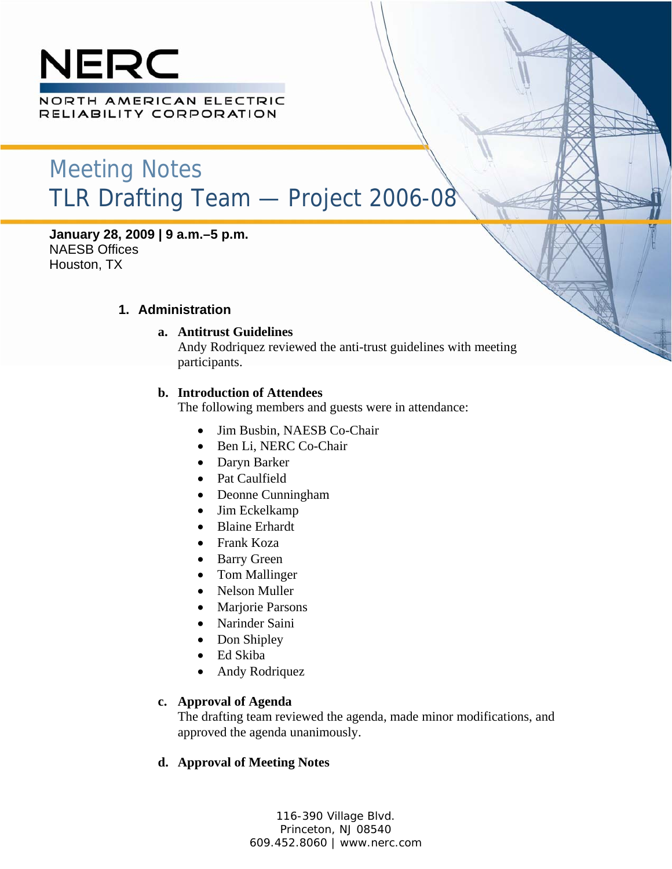# **NERC**

NORTH AMERICAN ELECTRIC RELIABILITY CORPORATION

# Meeting Notes TLR Drafting Team — Project 2006-08

**January 28, 2009 | 9 a.m.–5 p.m.**  NAESB Offices Houston, TX

# **1. Administration**

#### **a. Antitrust Guidelines**

Andy Rodriquez reviewed the anti-trust guidelines with meeting participants.

#### **b. Introduction of Attendees**

The following members and guests were in attendance:

- Jim Busbin, NAESB Co-Chair
- Ben Li, NERC Co-Chair
- Daryn Barker
- Pat Caulfield
- Deonne Cunningham
- Jim Eckelkamp
- Blaine Erhardt
- Frank Koza
- Barry Green
- Tom Mallinger
- Nelson Muller
- Marjorie Parsons
- Narinder Saini
- Don Shipley
- Ed Skiba
- Andy Rodriquez

#### **c. Approval of Agenda**

The drafting team reviewed the agenda, made minor modifications, and approved the agenda unanimously.

#### **d. Approval of Meeting Notes**

116-390 Village Blvd. Princeton, NJ 08540 609.452.8060 | www.nerc.com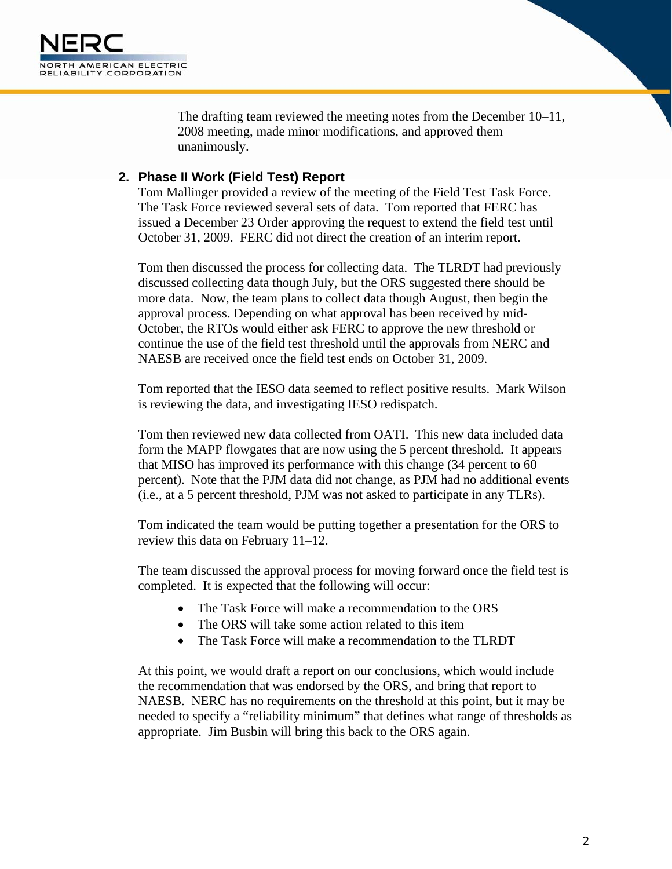

The drafting team reviewed the meeting notes from the December 10–11, 2008 meeting, made minor modifications, and approved them unanimously.

## **2. Phase II Work (Field Test) Report**

Tom Mallinger provided a review of the meeting of the Field Test Task Force. The Task Force reviewed several sets of data. Tom reported that FERC has issued a December 23 Order approving the request to extend the field test until October 31, 2009. FERC did not direct the creation of an interim report.

Tom then discussed the process for collecting data. The TLRDT had previously discussed collecting data though July, but the ORS suggested there should be more data. Now, the team plans to collect data though August, then begin the approval process. Depending on what approval has been received by mid-October, the RTOs would either ask FERC to approve the new threshold or continue the use of the field test threshold until the approvals from NERC and NAESB are received once the field test ends on October 31, 2009.

Tom reported that the IESO data seemed to reflect positive results. Mark Wilson is reviewing the data, and investigating IESO redispatch.

Tom then reviewed new data collected from OATI. This new data included data form the MAPP flowgates that are now using the 5 percent threshold. It appears that MISO has improved its performance with this change (34 percent to 60 percent). Note that the PJM data did not change, as PJM had no additional events (i.e., at a 5 percent threshold, PJM was not asked to participate in any TLRs).

Tom indicated the team would be putting together a presentation for the ORS to review this data on February 11–12.

The team discussed the approval process for moving forward once the field test is completed. It is expected that the following will occur:

- The Task Force will make a recommendation to the ORS
- The ORS will take some action related to this item
- The Task Force will make a recommendation to the TLRDT

At this point, we would draft a report on our conclusions, which would include the recommendation that was endorsed by the ORS, and bring that report to NAESB. NERC has no requirements on the threshold at this point, but it may be needed to specify a "reliability minimum" that defines what range of thresholds as appropriate. Jim Busbin will bring this back to the ORS again.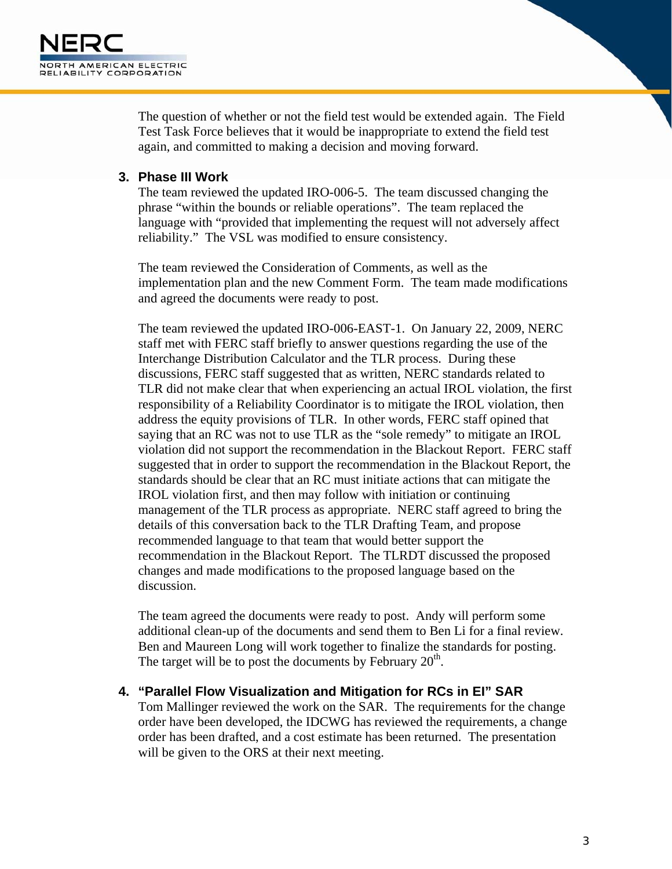

The question of whether or not the field test would be extended again. The Field Test Task Force believes that it would be inappropriate to extend the field test again, and committed to making a decision and moving forward.

## **3. Phase III Work**

The team reviewed the updated IRO-006-5. The team discussed changing the phrase "within the bounds or reliable operations". The team replaced the language with "provided that implementing the request will not adversely affect reliability." The VSL was modified to ensure consistency.

The team reviewed the Consideration of Comments, as well as the implementation plan and the new Comment Form. The team made modifications and agreed the documents were ready to post.

The team reviewed the updated IRO-006-EAST-1. On January 22, 2009, NERC staff met with FERC staff briefly to answer questions regarding the use of the Interchange Distribution Calculator and the TLR process. During these discussions, FERC staff suggested that as written, NERC standards related to TLR did not make clear that when experiencing an actual IROL violation, the first responsibility of a Reliability Coordinator is to mitigate the IROL violation, then address the equity provisions of TLR. In other words, FERC staff opined that saying that an RC was not to use TLR as the "sole remedy" to mitigate an IROL violation did not support the recommendation in the Blackout Report. FERC staff suggested that in order to support the recommendation in the Blackout Report, the standards should be clear that an RC must initiate actions that can mitigate the IROL violation first, and then may follow with initiation or continuing management of the TLR process as appropriate. NERC staff agreed to bring the details of this conversation back to the TLR Drafting Team, and propose recommended language to that team that would better support the recommendation in the Blackout Report. The TLRDT discussed the proposed changes and made modifications to the proposed language based on the discussion.

The team agreed the documents were ready to post. Andy will perform some additional clean-up of the documents and send them to Ben Li for a final review. Ben and Maureen Long will work together to finalize the standards for posting. The target will be to post the documents by February  $20<sup>th</sup>$ .

#### **4. "Parallel Flow Visualization and Mitigation for RCs in EI" SAR**

Tom Mallinger reviewed the work on the SAR. The requirements for the change order have been developed, the IDCWG has reviewed the requirements, a change order has been drafted, and a cost estimate has been returned. The presentation will be given to the ORS at their next meeting.